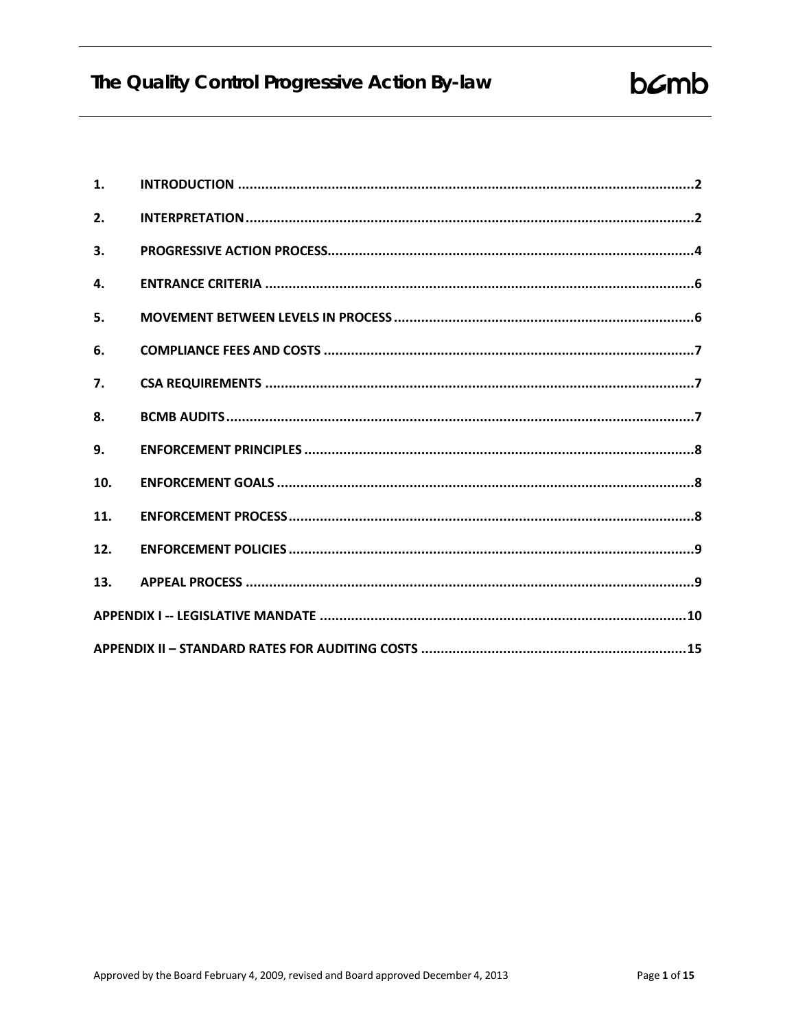| 1.           |  |  |  |
|--------------|--|--|--|
| 2.           |  |  |  |
| 3.           |  |  |  |
| $\mathbf{4}$ |  |  |  |
| 5.           |  |  |  |
| 6.           |  |  |  |
| 7.           |  |  |  |
| 8.           |  |  |  |
| 9.           |  |  |  |
| 10.          |  |  |  |
| 11.          |  |  |  |
| 12.          |  |  |  |
| 13.          |  |  |  |
|              |  |  |  |
|              |  |  |  |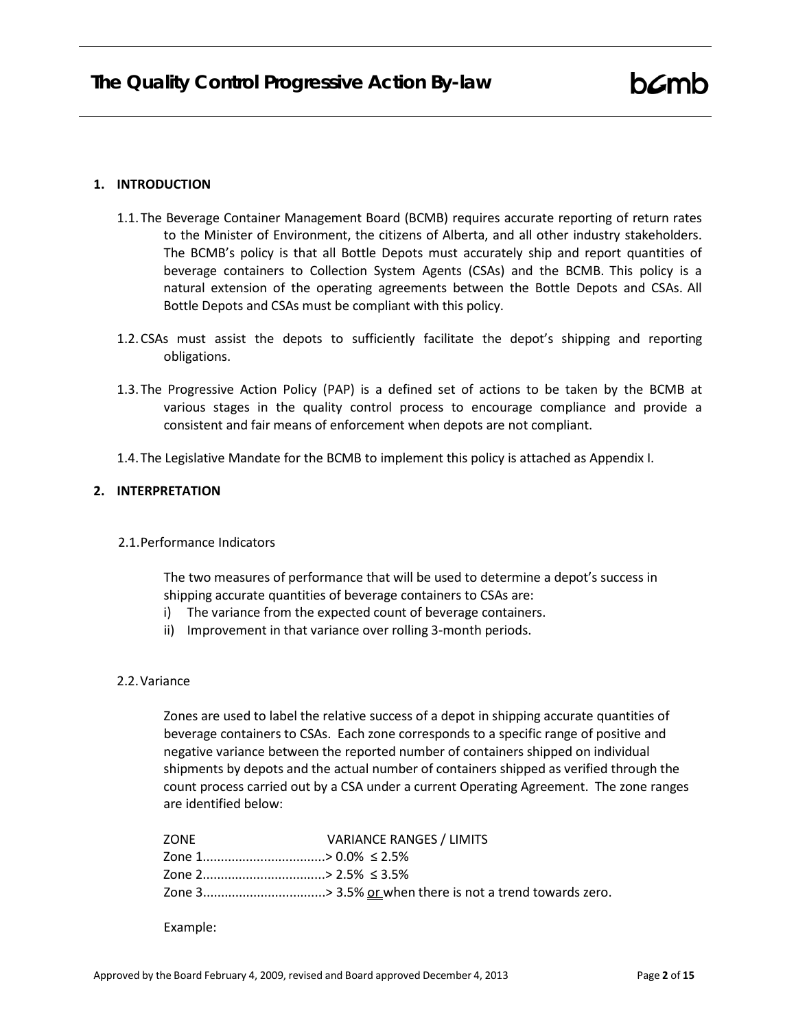#### <span id="page-1-0"></span>**1. INTRODUCTION**

- 1.1.The Beverage Container Management Board (BCMB) requires accurate reporting of return rates to the Minister of Environment, the citizens of Alberta, and all other industry stakeholders. The BCMB's policy is that all Bottle Depots must accurately ship and report quantities of beverage containers to Collection System Agents (CSAs) and the BCMB. This policy is a natural extension of the operating agreements between the Bottle Depots and CSAs. All Bottle Depots and CSAs must be compliant with this policy.
- 1.2.CSAs must assist the depots to sufficiently facilitate the depot's shipping and reporting obligations.
- 1.3.The Progressive Action Policy (PAP) is a defined set of actions to be taken by the BCMB at various stages in the quality control process to encourage compliance and provide a consistent and fair means of enforcement when depots are not compliant.
- 1.4.The Legislative Mandate for the BCMB to implement this policy is attached as Appendix I.

# <span id="page-1-1"></span>**2. INTERPRETATION**

2.1.Performance Indicators

The two measures of performance that will be used to determine a depot's success in shipping accurate quantities of beverage containers to CSAs are:

- i) The variance from the expected count of beverage containers.
- ii) Improvement in that variance over rolling 3-month periods.
- 2.2.Variance

Zones are used to label the relative success of a depot in shipping accurate quantities of beverage containers to CSAs. Each zone corresponds to a specific range of positive and negative variance between the reported number of containers shipped on individual shipments by depots and the actual number of containers shipped as verified through the count process carried out by a CSA under a current Operating Agreement. The zone ranges are identified below:

| ZONE                           | <b>VARIANCE RANGES / LIMITS</b>                         |
|--------------------------------|---------------------------------------------------------|
| Zone 1……………………………> 0.0% ≤ 2.5% |                                                         |
| Zone 2……………………………>2.5% ≤3.5%   |                                                         |
|                                | Zone 3> 3.5% or when there is not a trend towards zero. |

Example: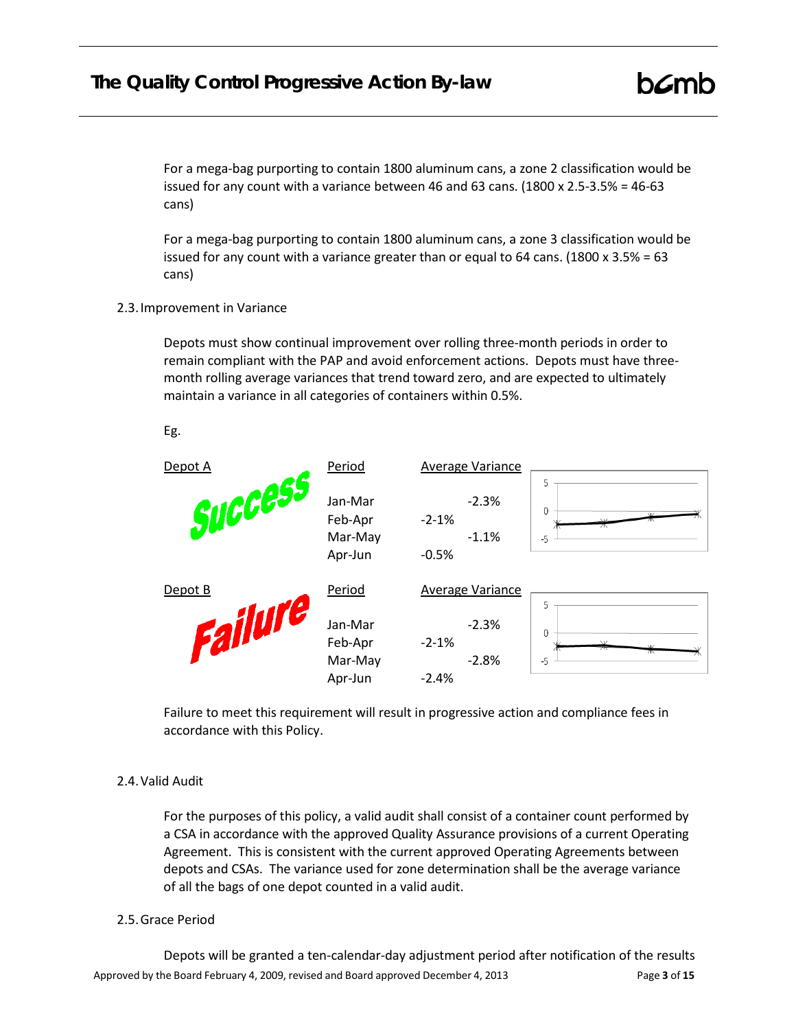# **The Quality Control Progressive Action By-law**

For a mega-bag purporting to contain 1800 aluminum cans, a zone 2 classification would be issued for any count with a variance between 46 and 63 cans.  $(1800 \times 2.5-3.5\% = 46-63$ cans)

For a mega-bag purporting to contain 1800 aluminum cans, a zone 3 classification would be issued for any count with a variance greater than or equal to 64 cans. (1800 x 3.5% = 63 cans)

2.3.Improvement in Variance

Depots must show continual improvement over rolling three-month periods in order to remain compliant with the PAP and avoid enforcement actions. Depots must have threemonth rolling average variances that trend toward zero, and are expected to ultimately maintain a variance in all categories of containers within 0.5%.

Eg.

| Depot A | Period                                   | <b>Average Variance</b>                    |                     |
|---------|------------------------------------------|--------------------------------------------|---------------------|
| Success | Jan-Mar<br>Feb-Apr<br>Mar-May<br>Apr-Jun | $-2.3%$<br>$-2 - 1%$<br>$-1.1%$<br>$-0.5%$ | 5<br>0<br>$-5$      |
| Depot B | Period                                   | <b>Average Variance</b>                    | 5                   |
| 12      | Jan-Mar<br>Feb-Apr<br>Mar-May<br>Apr-Jun | $-2.3%$<br>$-2-1%$<br>$-2.8%$<br>$-2.4%$   | 0<br>$\vee$<br>$-5$ |

Failure to meet this requirement will result in progressive action and compliance fees in accordance with this Policy.

# 2.4.Valid Audit

For the purposes of this policy, a valid audit shall consist of a container count performed by a CSA in accordance with the approved Quality Assurance provisions of a current Operating Agreement. This is consistent with the current approved Operating Agreements between depots and CSAs. The variance used for zone determination shall be the average variance of all the bags of one depot counted in a valid audit.

# 2.5.Grace Period

Approved by the Board February 4, 2009, revised and Board approved December 4, 2013 Page **3** of **15** Depots will be granted a ten-calendar-day adjustment period after notification of the results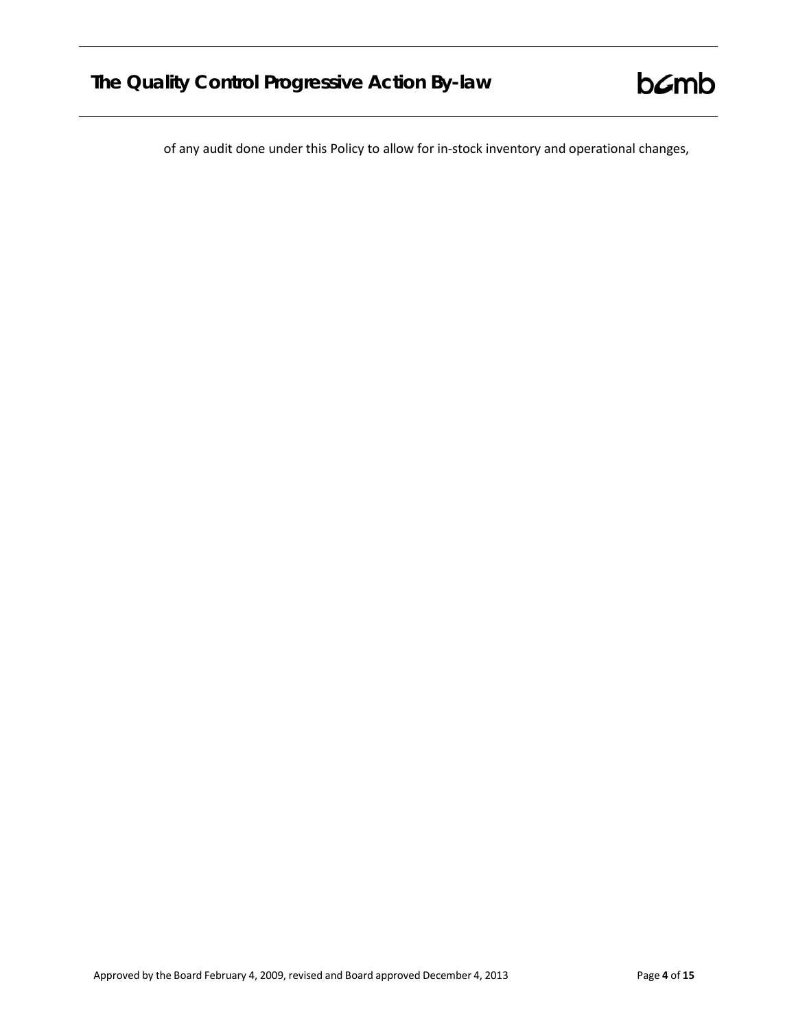of any audit done under this Policy to allow for in-stock inventory and operational changes,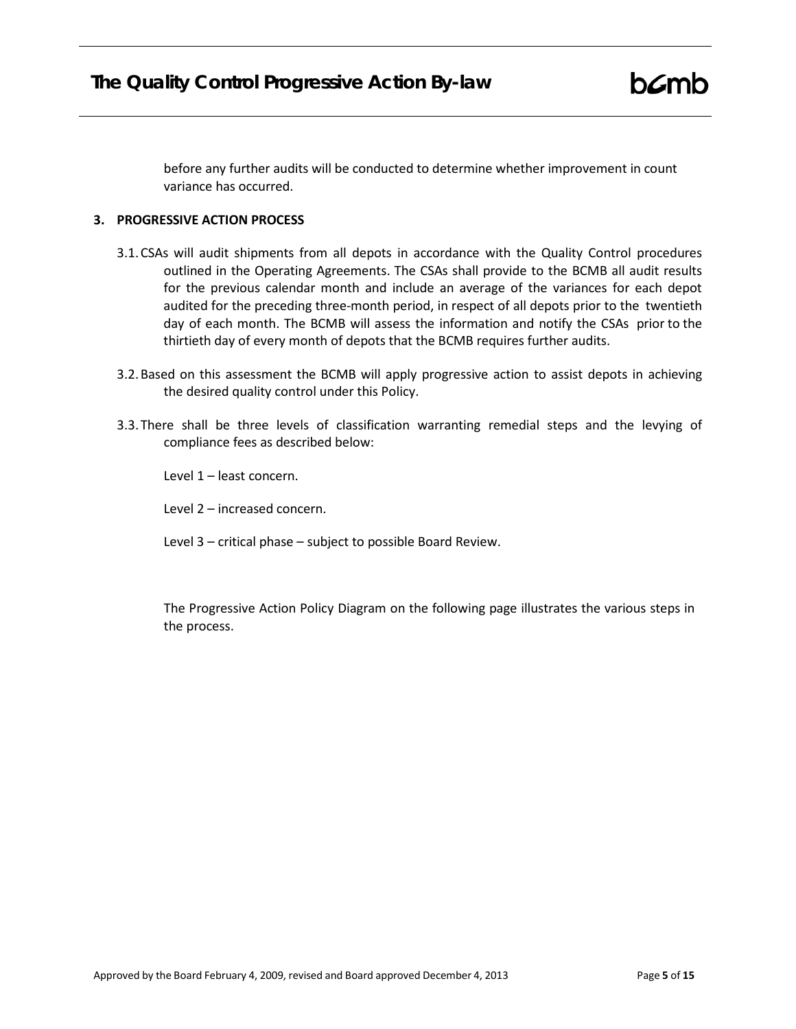before any further audits will be conducted to determine whether improvement in count variance has occurred.

# <span id="page-4-0"></span>**3. PROGRESSIVE ACTION PROCESS**

- 3.1.CSAs will audit shipments from all depots in accordance with the Quality Control procedures outlined in the Operating Agreements. The CSAs shall provide to the BCMB all audit results for the previous calendar month and include an average of the variances for each depot audited for the preceding three-month period, in respect of all depots prior to the twentieth day of each month. The BCMB will assess the information and notify the CSAs prior to the thirtieth day of every month of depots that the BCMB requires further audits.
- 3.2.Based on this assessment the BCMB will apply progressive action to assist depots in achieving the desired quality control under this Policy.
- 3.3.There shall be three levels of classification warranting remedial steps and the levying of compliance fees as described below:

Level 1 – least concern.

Level 2 – increased concern.

Level 3 – critical phase – subject to possible Board Review.

The Progressive Action Policy Diagram on the following page illustrates the various steps in the process.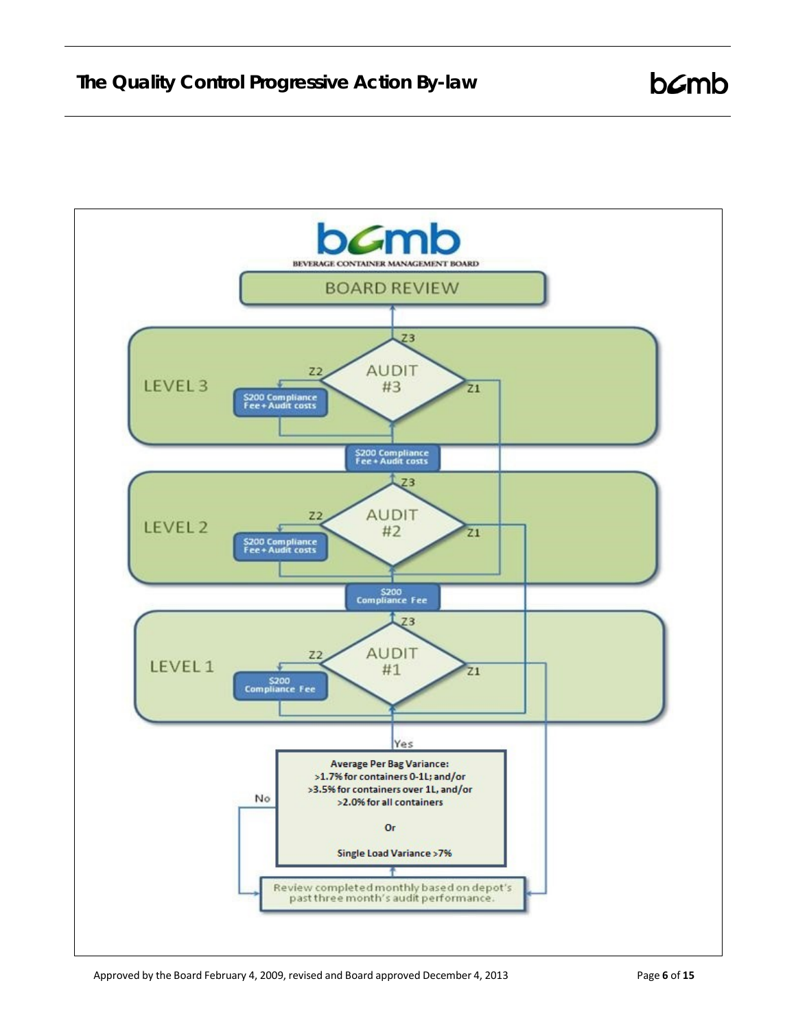

 $b$  $C$ mb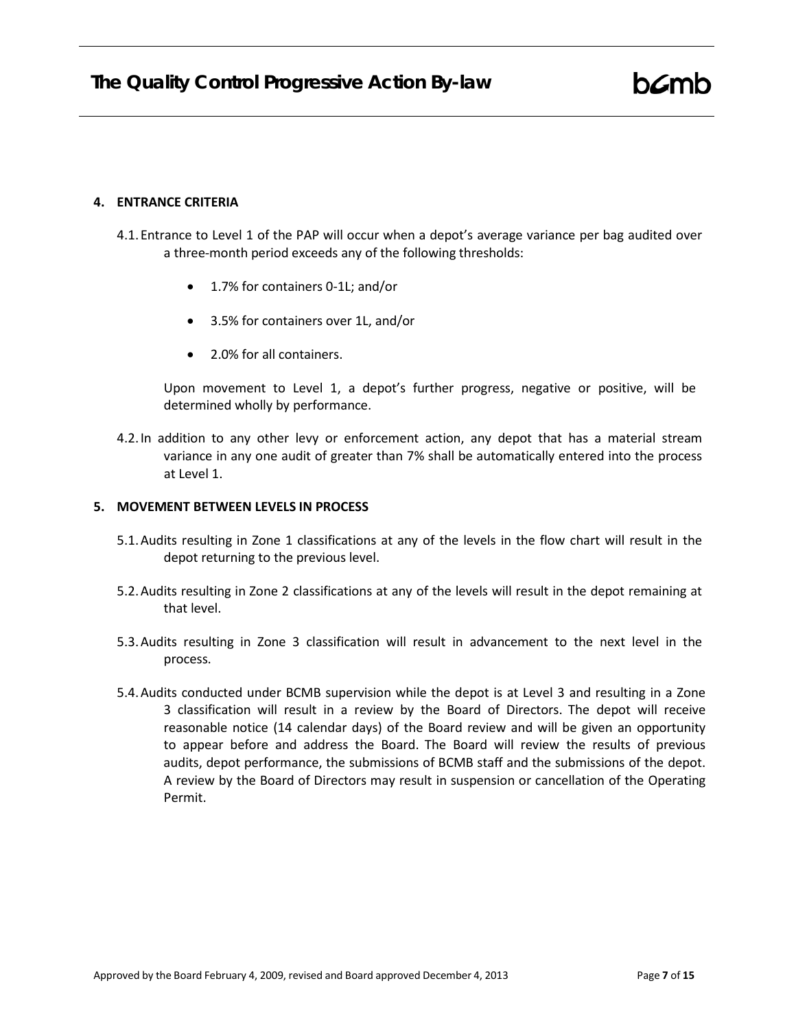#### <span id="page-6-0"></span>**4. ENTRANCE CRITERIA**

- 4.1.Entrance to Level 1 of the PAP will occur when a depot's average variance per bag audited over a three-month period exceeds any of the following thresholds:
	- 1.7% for containers 0-1L; and/or
	- 3.5% for containers over 1L, and/or
	- 2.0% for all containers.

Upon movement to Level 1, a depot's further progress, negative or positive, will be determined wholly by performance.

4.2.In addition to any other levy or enforcement action, any depot that has a material stream variance in any one audit of greater than 7% shall be automatically entered into the process at Level 1.

# <span id="page-6-1"></span>**5. MOVEMENT BETWEEN LEVELS IN PROCESS**

- 5.1.Audits resulting in Zone 1 classifications at any of the levels in the flow chart will result in the depot returning to the previous level.
- 5.2.Audits resulting in Zone 2 classifications at any of the levels will result in the depot remaining at that level.
- 5.3.Audits resulting in Zone 3 classification will result in advancement to the next level in the process.
- 5.4.Audits conducted under BCMB supervision while the depot is at Level 3 and resulting in a Zone 3 classification will result in a review by the Board of Directors. The depot will receive reasonable notice (14 calendar days) of the Board review and will be given an opportunity to appear before and address the Board. The Board will review the results of previous audits, depot performance, the submissions of BCMB staff and the submissions of the depot. A review by the Board of Directors may result in suspension or cancellation of the Operating Permit.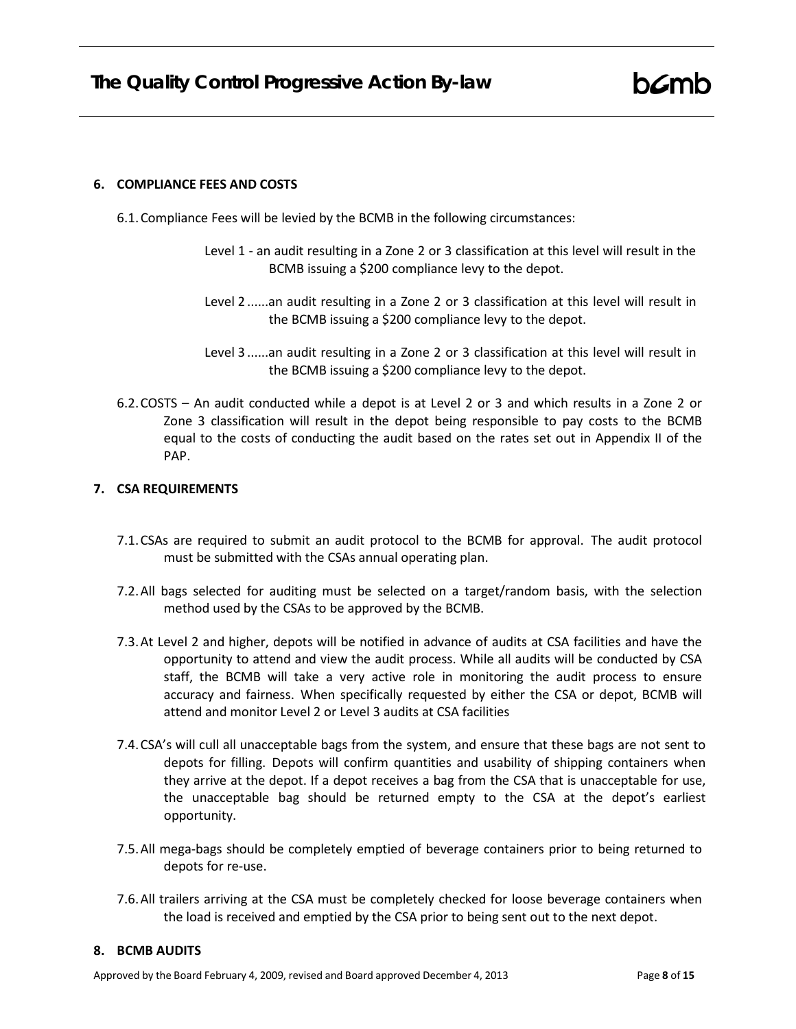# <span id="page-7-0"></span>**6. COMPLIANCE FEES AND COSTS**

- 6.1.Compliance Fees will be levied by the BCMB in the following circumstances:
	- Level 1 an audit resulting in a Zone 2 or 3 classification at this level will result in the BCMB issuing a \$200 compliance levy to the depot.
	- Level 2 ......an audit resulting in a Zone 2 or 3 classification at this level will result in the BCMB issuing a \$200 compliance levy to the depot.
	- Level 3 ......an audit resulting in a Zone 2 or 3 classification at this level will result in the BCMB issuing a \$200 compliance levy to the depot.
- 6.2.COSTS An audit conducted while a depot is at Level 2 or 3 and which results in a Zone 2 or Zone 3 classification will result in the depot being responsible to pay costs to the BCMB equal to the costs of conducting the audit based on the rates set out in Appendix II of the PAP.

# <span id="page-7-1"></span>**7. CSA REQUIREMENTS**

- 7.1.CSAs are required to submit an audit protocol to the BCMB for approval. The audit protocol must be submitted with the CSAs annual operating plan.
- 7.2.All bags selected for auditing must be selected on a target/random basis, with the selection method used by the CSAs to be approved by the BCMB.
- 7.3.At Level 2 and higher, depots will be notified in advance of audits at CSA facilities and have the opportunity to attend and view the audit process. While all audits will be conducted by CSA staff, the BCMB will take a very active role in monitoring the audit process to ensure accuracy and fairness. When specifically requested by either the CSA or depot, BCMB will attend and monitor Level 2 or Level 3 audits at CSA facilities
- 7.4.CSA's will cull all unacceptable bags from the system, and ensure that these bags are not sent to depots for filling. Depots will confirm quantities and usability of shipping containers when they arrive at the depot. If a depot receives a bag from the CSA that is unacceptable for use, the unacceptable bag should be returned empty to the CSA at the depot's earliest opportunity.
- 7.5.All mega-bags should be completely emptied of beverage containers prior to being returned to depots for re-use.
- 7.6.All trailers arriving at the CSA must be completely checked for loose beverage containers when the load is received and emptied by the CSA prior to being sent out to the next depot.

# <span id="page-7-2"></span>**8. BCMB AUDITS**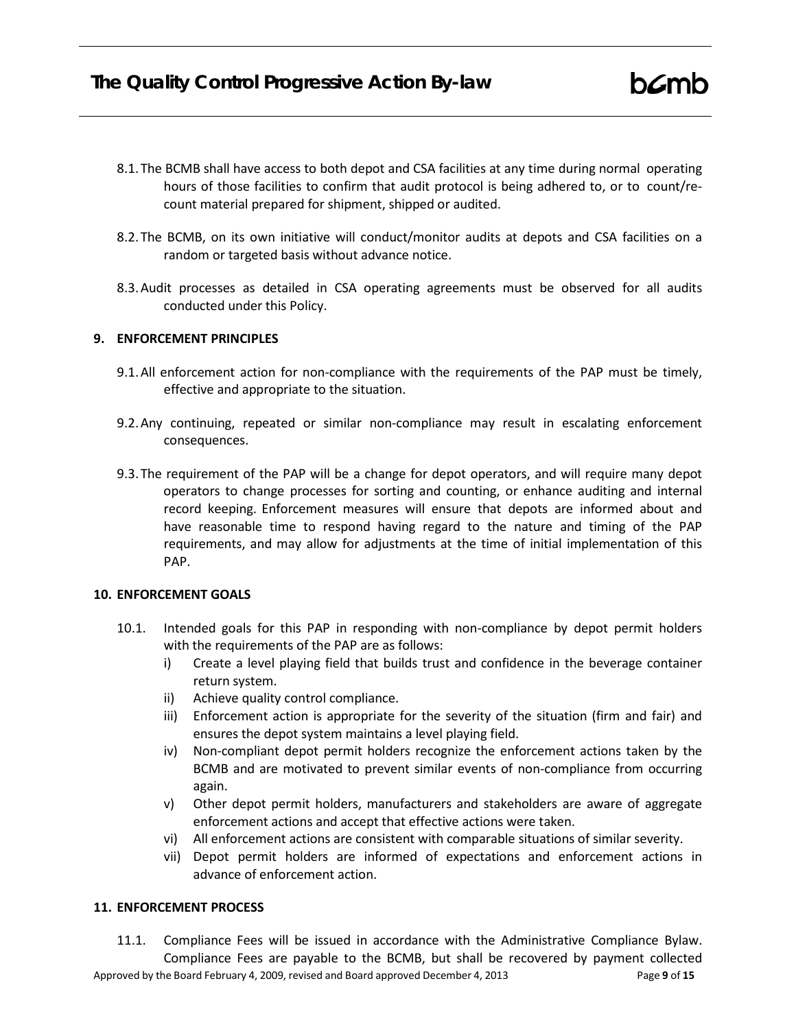- 8.1.The BCMB shall have access to both depot and CSA facilities at any time during normal operating hours of those facilities to confirm that audit protocol is being adhered to, or to count/recount material prepared for shipment, shipped or audited.
- 8.2.The BCMB, on its own initiative will conduct/monitor audits at depots and CSA facilities on a random or targeted basis without advance notice.
- 8.3.Audit processes as detailed in CSA operating agreements must be observed for all audits conducted under this Policy.

# <span id="page-8-0"></span>**9. ENFORCEMENT PRINCIPLES**

- 9.1.All enforcement action for non-compliance with the requirements of the PAP must be timely, effective and appropriate to the situation.
- 9.2.Any continuing, repeated or similar non-compliance may result in escalating enforcement consequences.
- 9.3.The requirement of the PAP will be a change for depot operators, and will require many depot operators to change processes for sorting and counting, or enhance auditing and internal record keeping. Enforcement measures will ensure that depots are informed about and have reasonable time to respond having regard to the nature and timing of the PAP requirements, and may allow for adjustments at the time of initial implementation of this PAP.

# <span id="page-8-1"></span>**10. ENFORCEMENT GOALS**

- 10.1. Intended goals for this PAP in responding with non-compliance by depot permit holders with the requirements of the PAP are as follows:
	- i) Create a level playing field that builds trust and confidence in the beverage container return system.
	- ii) Achieve quality control compliance.
	- iii) Enforcement action is appropriate for the severity of the situation (firm and fair) and ensures the depot system maintains a level playing field.
	- iv) Non-compliant depot permit holders recognize the enforcement actions taken by the BCMB and are motivated to prevent similar events of non-compliance from occurring again.
	- v) Other depot permit holders, manufacturers and stakeholders are aware of aggregate enforcement actions and accept that effective actions were taken.
	- vi) All enforcement actions are consistent with comparable situations of similar severity.
	- vii) Depot permit holders are informed of expectations and enforcement actions in advance of enforcement action.

# <span id="page-8-2"></span>**11. ENFORCEMENT PROCESS**

Approved by the Board February 4, 2009, revised and Board approved December 4, 2013 Page **9** of **15** 11.1. Compliance Fees will be issued in accordance with the Administrative Compliance Bylaw. Compliance Fees are payable to the BCMB, but shall be recovered by payment collected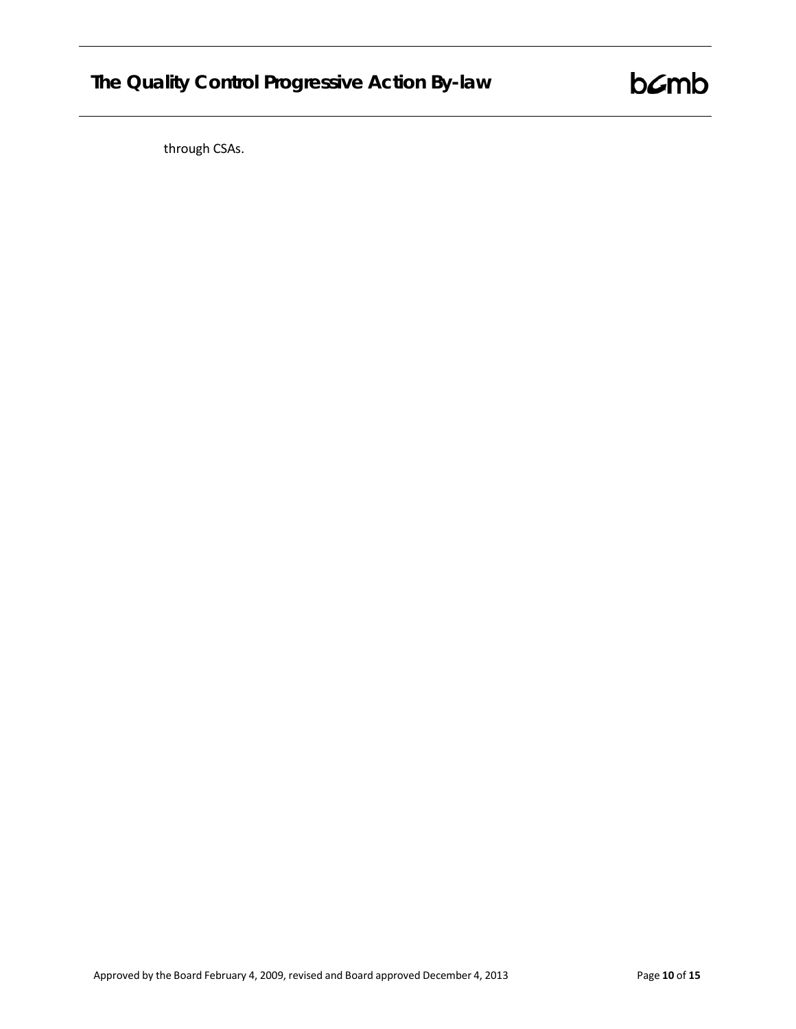# **The Quality Control Progressive Action By-law**

 $b$  $\mathcal{L}$ mb

through CSAs.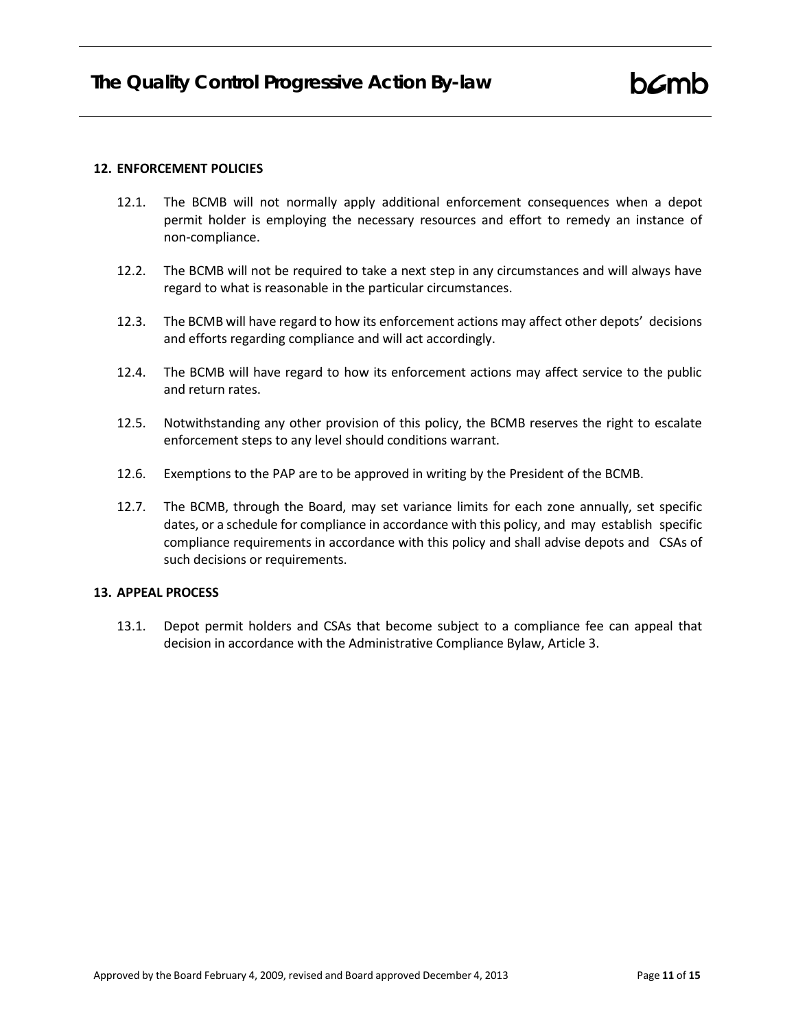#### <span id="page-10-0"></span>**12. ENFORCEMENT POLICIES**

- 12.1. The BCMB will not normally apply additional enforcement consequences when a depot permit holder is employing the necessary resources and effort to remedy an instance of non-compliance.
- 12.2. The BCMB will not be required to take a next step in any circumstances and will always have regard to what is reasonable in the particular circumstances.
- 12.3. The BCMB will have regard to how its enforcement actions may affect other depots' decisions and efforts regarding compliance and will act accordingly.
- 12.4. The BCMB will have regard to how its enforcement actions may affect service to the public and return rates.
- 12.5. Notwithstanding any other provision of this policy, the BCMB reserves the right to escalate enforcement steps to any level should conditions warrant.
- 12.6. Exemptions to the PAP are to be approved in writing by the President of the BCMB.
- 12.7. The BCMB, through the Board, may set variance limits for each zone annually, set specific dates, or a schedule for compliance in accordance with this policy, and may establish specific compliance requirements in accordance with this policy and shall advise depots and CSAs of such decisions or requirements.

# <span id="page-10-1"></span>**13. APPEAL PROCESS**

13.1. Depot permit holders and CSAs that become subject to a compliance fee can appeal that decision in accordance with the Administrative Compliance Bylaw, Article 3.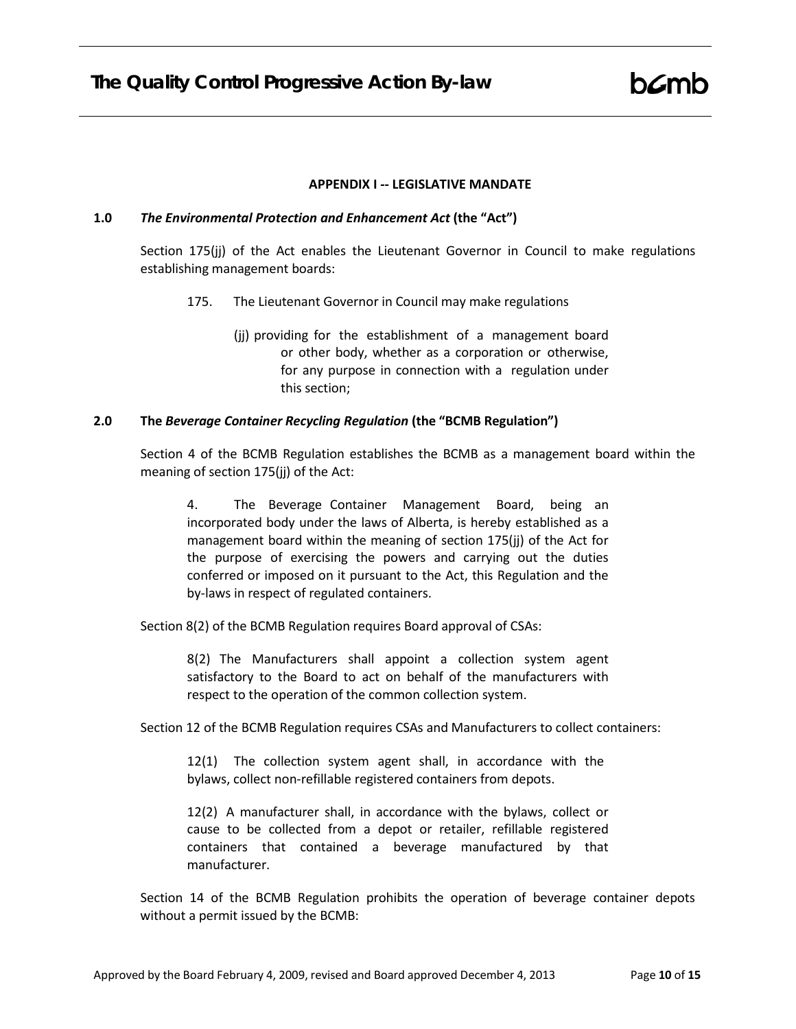#### **APPENDIX I -- LEGISLATIVE MANDATE**

#### <span id="page-11-0"></span>**1.0** *The Environmental Protection and Enhancement Act* **(the "Act")**

Section 175(jj) of the Act enables the Lieutenant Governor in Council to make regulations establishing management boards:

- 175. The Lieutenant Governor in Council may make regulations
	- (jj) providing for the establishment of a management board or other body, whether as a corporation or otherwise, for any purpose in connection with a regulation under this section;

# **2.0 The** *Beverage Container Recycling Regulation* **(the "BCMB Regulation")**

Section 4 of the BCMB Regulation establishes the BCMB as a management board within the meaning of section 175(jj) of the Act:

4. The Beverage Container Management Board, being an incorporated body under the laws of Alberta, is hereby established as a management board within the meaning of section 175(jj) of the Act for the purpose of exercising the powers and carrying out the duties conferred or imposed on it pursuant to the Act, this Regulation and the by-laws in respect of regulated containers.

Section 8(2) of the BCMB Regulation requires Board approval of CSAs:

8(2) The Manufacturers shall appoint a collection system agent satisfactory to the Board to act on behalf of the manufacturers with respect to the operation of the common collection system.

Section 12 of the BCMB Regulation requires CSAs and Manufacturers to collect containers:

12(1) The collection system agent shall, in accordance with the bylaws, collect non-refillable registered containers from depots.

12(2) A manufacturer shall, in accordance with the bylaws, collect or cause to be collected from a depot or retailer, refillable registered containers that contained a beverage manufactured by that manufacturer.

Section 14 of the BCMB Regulation prohibits the operation of beverage container depots without a permit issued by the BCMB: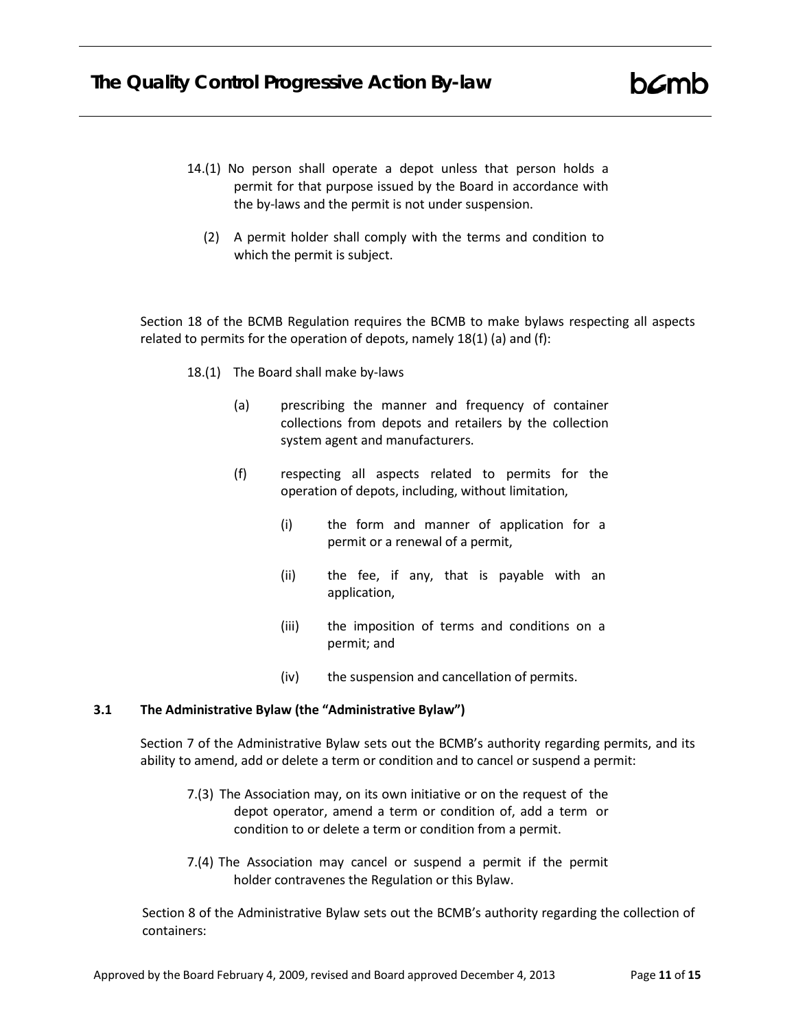- 14.(1) No person shall operate a depot unless that person holds a permit for that purpose issued by the Board in accordance with the by-laws and the permit is not under suspension.
	- (2) A permit holder shall comply with the terms and condition to which the permit is subject.

Section 18 of the BCMB Regulation requires the BCMB to make bylaws respecting all aspects related to permits for the operation of depots, namely 18(1) (a) and (f):

- 18.(1) The Board shall make by-laws
	- (a) prescribing the manner and frequency of container collections from depots and retailers by the collection system agent and manufacturers.
	- (f) respecting all aspects related to permits for the operation of depots, including, without limitation,
		- (i) the form and manner of application for a permit or a renewal of a permit,
		- (ii) the fee, if any, that is payable with an application,
		- (iii) the imposition of terms and conditions on a permit; and
		- (iv) the suspension and cancellation of permits.

#### **3.1 The Administrative Bylaw (the "Administrative Bylaw")**

Section 7 of the Administrative Bylaw sets out the BCMB's authority regarding permits, and its ability to amend, add or delete a term or condition and to cancel or suspend a permit:

- 7.(3) The Association may, on its own initiative or on the request of the depot operator, amend a term or condition of, add a term or condition to or delete a term or condition from a permit.
- 7.(4) The Association may cancel or suspend a permit if the permit holder contravenes the Regulation or this Bylaw.

Section 8 of the Administrative Bylaw sets out the BCMB's authority regarding the collection of containers:

 $b\mathcal{L}$ mb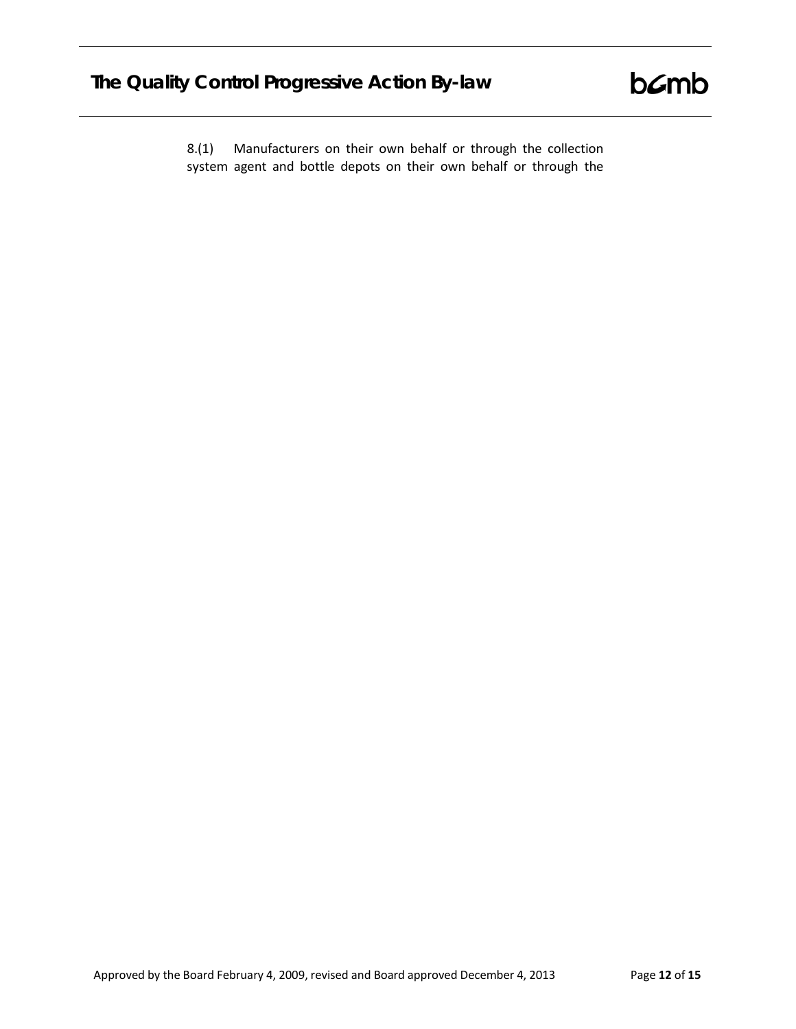8.(1) Manufacturers on their own behalf or through the collection system agent and bottle depots on their own behalf or through the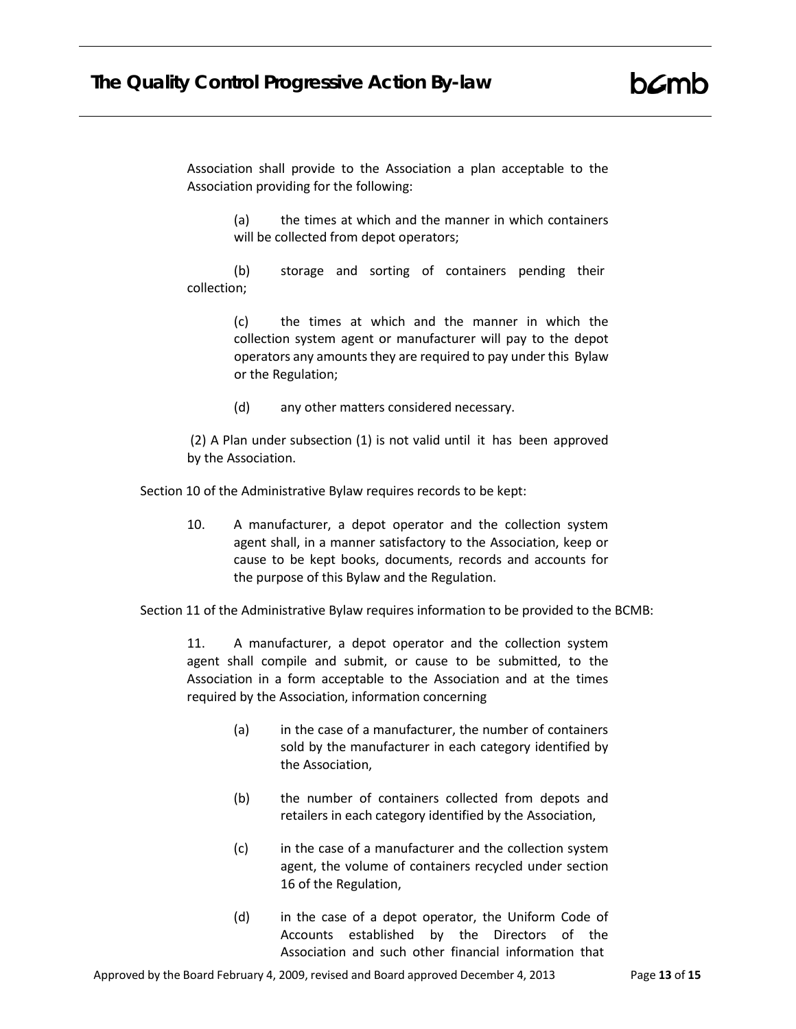Association shall provide to the Association a plan acceptable to the Association providing for the following:

> (a) the times at which and the manner in which containers will be collected from depot operators;

(b) storage and sorting of containers pending their collection;

> (c) the times at which and the manner in which the collection system agent or manufacturer will pay to the depot operators any amounts they are required to pay under this Bylaw or the Regulation;

(d) any other matters considered necessary.

(2) A Plan under subsection (1) is not valid until it has been approved by the Association.

Section 10 of the Administrative Bylaw requires records to be kept:

10. A manufacturer, a depot operator and the collection system agent shall, in a manner satisfactory to the Association, keep or cause to be kept books, documents, records and accounts for the purpose of this Bylaw and the Regulation.

Section 11 of the Administrative Bylaw requires information to be provided to the BCMB:

11. A manufacturer, a depot operator and the collection system agent shall compile and submit, or cause to be submitted, to the Association in a form acceptable to the Association and at the times required by the Association, information concerning

- (a) in the case of a manufacturer, the number of containers sold by the manufacturer in each category identified by the Association,
- (b) the number of containers collected from depots and retailers in each category identified by the Association,
- (c) in the case of a manufacturer and the collection system agent, the volume of containers recycled under section 16 of the Regulation,
- (d) in the case of a depot operator, the Uniform Code of Accounts established by the Directors of the Association and such other financial information that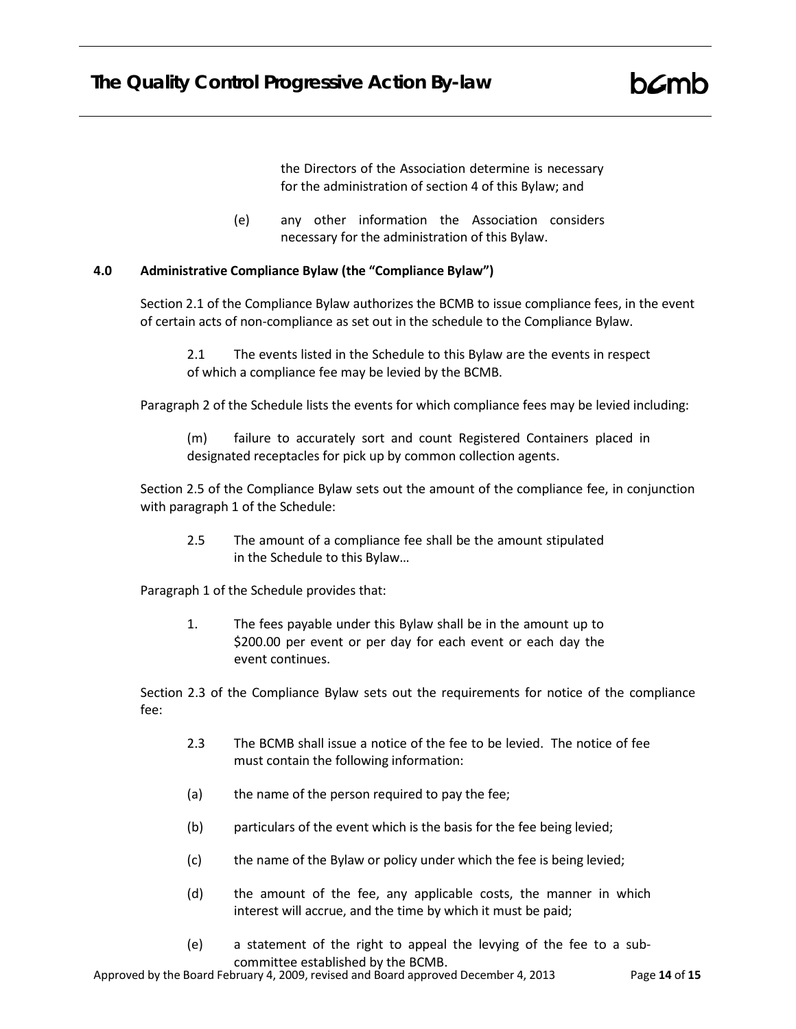the Directors of the Association determine is necessary for the administration of section 4 of this Bylaw; and

(e) any other information the Association considers necessary for the administration of this Bylaw.

# **4.0 Administrative Compliance Bylaw (the "Compliance Bylaw")**

Section 2.1 of the Compliance Bylaw authorizes the BCMB to issue compliance fees, in the event of certain acts of non-compliance as set out in the schedule to the Compliance Bylaw.

2.1 The events listed in the Schedule to this Bylaw are the events in respect of which a compliance fee may be levied by the BCMB.

Paragraph 2 of the Schedule lists the events for which compliance fees may be levied including:

(m) failure to accurately sort and count Registered Containers placed in designated receptacles for pick up by common collection agents.

Section 2.5 of the Compliance Bylaw sets out the amount of the compliance fee, in conjunction with paragraph 1 of the Schedule:

2.5 The amount of a compliance fee shall be the amount stipulated in the Schedule to this Bylaw…

Paragraph 1 of the Schedule provides that:

1. The fees payable under this Bylaw shall be in the amount up to \$200.00 per event or per day for each event or each day the event continues.

Section 2.3 of the Compliance Bylaw sets out the requirements for notice of the compliance fee:

- 2.3 The BCMB shall issue a notice of the fee to be levied. The notice of fee must contain the following information:
- (a) the name of the person required to pay the fee;
- (b) particulars of the event which is the basis for the fee being levied;
- (c) the name of the Bylaw or policy under which the fee is being levied;
- (d) the amount of the fee, any applicable costs, the manner in which interest will accrue, and the time by which it must be paid;
- (e) a statement of the right to appeal the levying of the fee to a subcommittee established by the BCMB.

Approved by the Board February 4, 2009, revised and Board approved December 4, 2013 Page **14** of **15**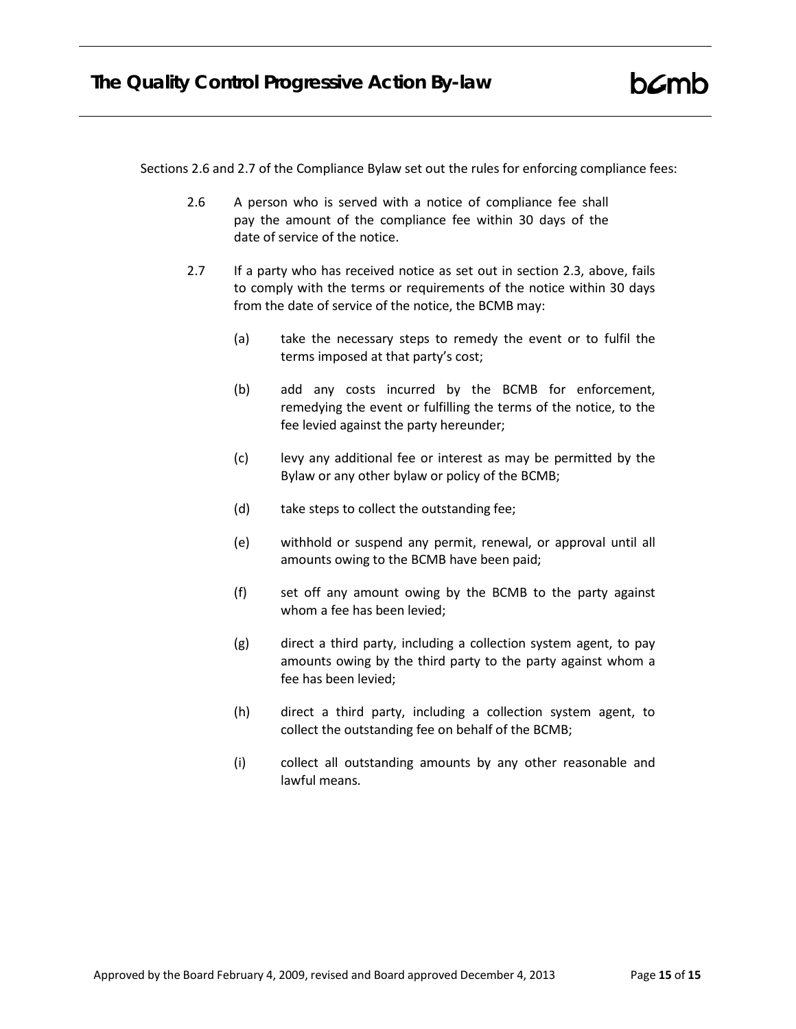Sections 2.6 and 2.7 of the Compliance Bylaw set out the rules for enforcing compliance fees:

- 2.6 A person who is served with a notice of compliance fee shall pay the amount of the compliance fee within 30 days of the date of service of the notice.
- 2.7 If a party who has received notice as set out in section 2.3, above, fails to comply with the terms or requirements of the notice within 30 days from the date of service of the notice, the BCMB may:
	- (a) take the necessary steps to remedy the event or to fulfil the terms imposed at that party's cost;
	- (b) add any costs incurred by the BCMB for enforcement, remedying the event or fulfilling the terms of the notice, to the fee levied against the party hereunder;
	- (c) levy any additional fee or interest as may be permitted by the Bylaw or any other bylaw or policy of the BCMB;
	- (d) take steps to collect the outstanding fee;
	- (e) withhold or suspend any permit, renewal, or approval until all amounts owing to the BCMB have been paid;
	- (f) set off any amount owing by the BCMB to the party against whom a fee has been levied;
	- (g) direct a third party, including a collection system agent, to pay amounts owing by the third party to the party against whom a fee has been levied;
	- (h) direct a third party, including a collection system agent, to collect the outstanding fee on behalf of the BCMB;
	- (i) collect all outstanding amounts by any other reasonable and lawful means.